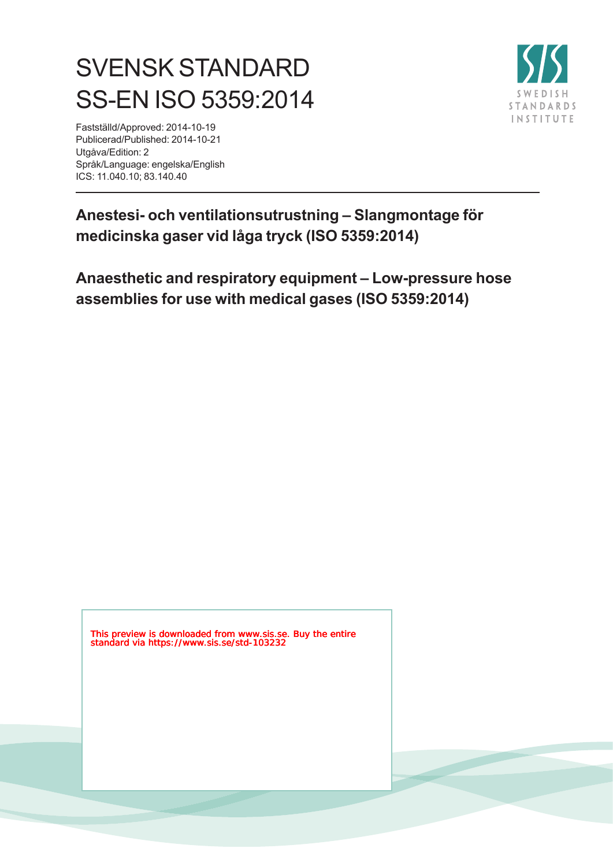# SVENSK STANDARD SS-EN ISO 5359:2014



Fastställd/Approved: 2014-10-19 Publicerad/Published: 2014-10-21 Utgåva/Edition: 2 Språk/Language: engelska/English ICS: 11.040.10; 83.140.40

**Anestesi- och ventilationsutrustning – Slangmontage för medicinska gaser vid låga tryck (ISO 5359:2014)**

**Anaesthetic and respiratory equipment – Low-pressure hose assemblies for use with medical gases (ISO 5359:2014)**

This preview is downloaded from www.sis.se. Buy the entire standard via https://www.sis.se/std-103232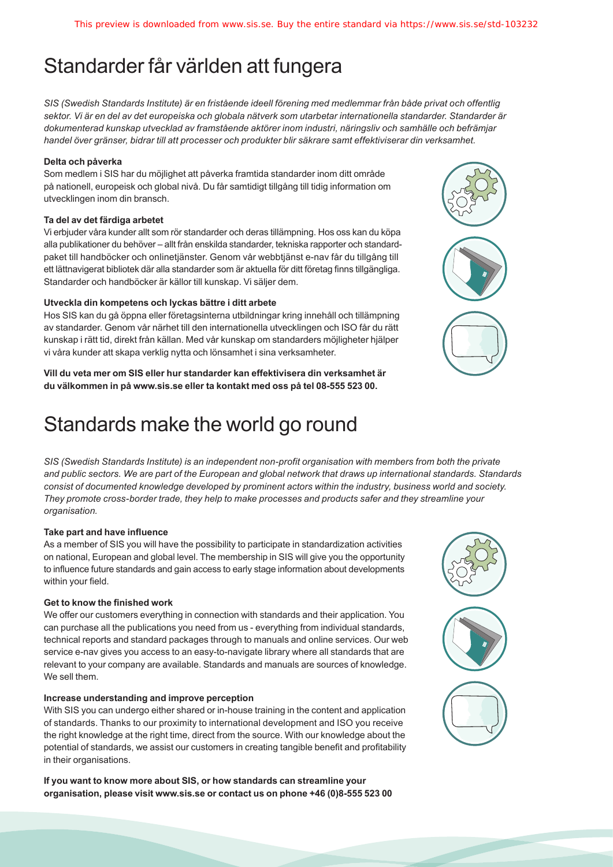# Standarder får världen att fungera

*SIS (Swedish Standards Institute) är en fristående ideell förening med medlemmar från både privat och offentlig sektor. Vi är en del av det europeiska och globala nätverk som utarbetar internationella standarder. Standarder är dokumenterad kunskap utvecklad av framstående aktörer inom industri, näringsliv och samhälle och befrämjar handel över gränser, bidrar till att processer och produkter blir säkrare samt effektiviserar din verksamhet.* 

#### **Delta och påverka**

Som medlem i SIS har du möjlighet att påverka framtida standarder inom ditt område på nationell, europeisk och global nivå. Du får samtidigt tillgång till tidig information om utvecklingen inom din bransch.

#### **Ta del av det färdiga arbetet**

Vi erbjuder våra kunder allt som rör standarder och deras tillämpning. Hos oss kan du köpa alla publikationer du behöver – allt från enskilda standarder, tekniska rapporter och standardpaket till handböcker och onlinetjänster. Genom vår webbtjänst e-nav får du tillgång till ett lättnavigerat bibliotek där alla standarder som är aktuella för ditt företag finns tillgängliga. Standarder och handböcker är källor till kunskap. Vi säljer dem.

#### **Utveckla din kompetens och lyckas bättre i ditt arbete**

Hos SIS kan du gå öppna eller företagsinterna utbildningar kring innehåll och tillämpning av standarder. Genom vår närhet till den internationella utvecklingen och ISO får du rätt kunskap i rätt tid, direkt från källan. Med vår kunskap om standarders möjligheter hjälper vi våra kunder att skapa verklig nytta och lönsamhet i sina verksamheter.

**Vill du veta mer om SIS eller hur standarder kan effektivisera din verksamhet är du välkommen in på www.sis.se eller ta kontakt med oss på tel 08-555 523 00.**

# Standards make the world go round

*SIS (Swedish Standards Institute) is an independent non-profit organisation with members from both the private and public sectors. We are part of the European and global network that draws up international standards. Standards consist of documented knowledge developed by prominent actors within the industry, business world and society. They promote cross-border trade, they help to make processes and products safer and they streamline your organisation.*

#### **Take part and have influence**

As a member of SIS you will have the possibility to participate in standardization activities on national, European and global level. The membership in SIS will give you the opportunity to influence future standards and gain access to early stage information about developments within your field.

#### **Get to know the finished work**

We offer our customers everything in connection with standards and their application. You can purchase all the publications you need from us - everything from individual standards, technical reports and standard packages through to manuals and online services. Our web service e-nav gives you access to an easy-to-navigate library where all standards that are relevant to your company are available. Standards and manuals are sources of knowledge. We sell them.

#### **Increase understanding and improve perception**

With SIS you can undergo either shared or in-house training in the content and application of standards. Thanks to our proximity to international development and ISO you receive the right knowledge at the right time, direct from the source. With our knowledge about the potential of standards, we assist our customers in creating tangible benefit and profitability in their organisations.

**If you want to know more about SIS, or how standards can streamline your organisation, please visit www.sis.se or contact us on phone +46 (0)8-555 523 00**



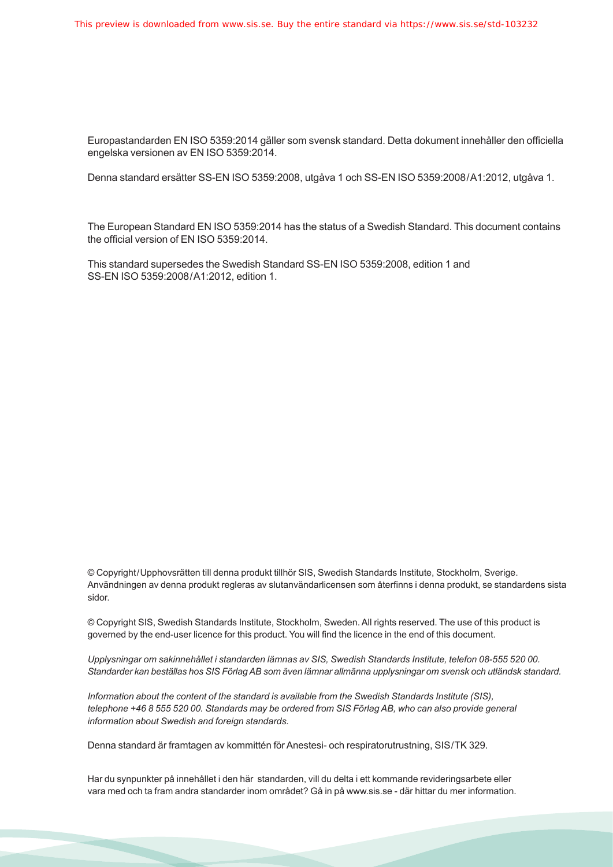Europastandarden EN ISO 5359:2014 gäller som svensk standard. Detta dokument innehåller den officiella engelska versionen av EN ISO 5359:2014.

Denna standard ersätter SS-EN ISO 5359:2008, utgåva 1 och SS-EN ISO 5359:2008 / A1:2012, utgåva 1.

The European Standard EN ISO 5359:2014 has the status of a Swedish Standard. This document contains the official version of EN ISO 5359:2014.

This standard supersedes the Swedish Standard SS-EN ISO 5359:2008, edition 1 and SS-EN ISO 5359:2008/A1:2012, edition 1.

© Copyright / Upphovsrätten till denna produkt tillhör SIS, Swedish Standards Institute, Stockholm, Sverige. Användningen av denna produkt regleras av slutanvändarlicensen som återfinns i denna produkt, se standardens sista sidor.

© Copyright SIS, Swedish Standards Institute, Stockholm, Sweden. All rights reserved. The use of this product is governed by the end-user licence for this product. You will find the licence in the end of this document.

*Upplysningar om sakinnehållet i standarden lämnas av SIS, Swedish Standards Institute, telefon 08-555 520 00. Standarder kan beställas hos SIS Förlag AB som även lämnar allmänna upplysningar om svensk och utländsk standard.*

*Information about the content of the standard is available from the Swedish Standards Institute (SIS), telephone +46 8 555 520 00. Standards may be ordered from SIS Förlag AB, who can also provide general information about Swedish and foreign standards.*

Denna standard är framtagen av kommittén för Anestesi- och respiratorutrustning, SIS / TK 329.

Har du synpunkter på innehållet i den här standarden, vill du delta i ett kommande revideringsarbete eller vara med och ta fram andra standarder inom området? Gå in på www.sis.se - där hittar du mer information.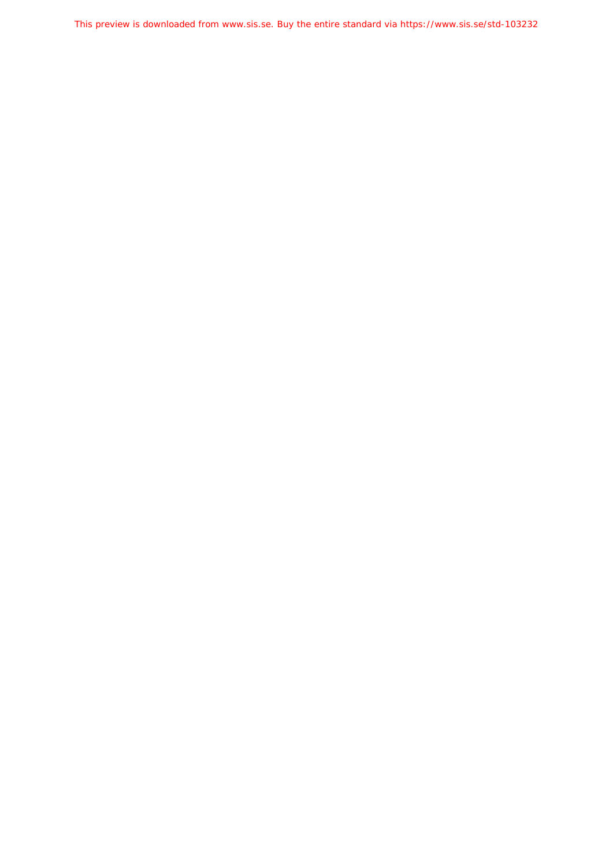This preview is downloaded from www.sis.se. Buy the entire standard via https://www.sis.se/std-103232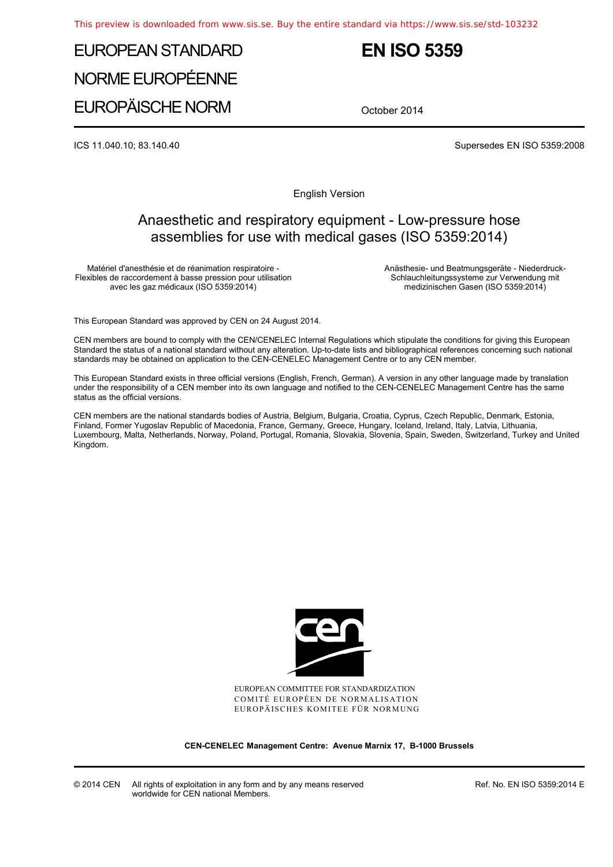# EUROPEAN STANDARD

# NORME EUROPÉENNE

EUROPÄISCHE NORM

 **EN ISO 5359** 

October 2014

ICS 11.040.10; 83.140.40 Supersedes EN ISO 5359:2008

English Version

### Anaesthetic and respiratory equipment - Low-pressure hose assemblies for use with medical gases (ISO 5359:2014)

Matériel d'anesthésie et de réanimation respiratoire - Flexibles de raccordement à basse pression pour utilisation avec les gaz médicaux (ISO 5359:2014)

Anästhesie- und Beatmungsgeräte - Niederdruck-Schlauchleitungssysteme zur Verwendung mit medizinischen Gasen (ISO 5359:2014)

This European Standard was approved by CEN on 24 August 2014.

CEN members are bound to comply with the CEN/CENELEC Internal Regulations which stipulate the conditions for giving this European Standard the status of a national standard without any alteration. Up-to-date lists and bibliographical references concerning such national standards may be obtained on application to the CEN-CENELEC Management Centre or to any CEN member.

This European Standard exists in three official versions (English, French, German). A version in any other language made by translation under the responsibility of a CEN member into its own language and notified to the CEN-CENELEC Management Centre has the same status as the official versions.

CEN members are the national standards bodies of Austria, Belgium, Bulgaria, Croatia, Cyprus, Czech Republic, Denmark, Estonia, Finland, Former Yugoslav Republic of Macedonia, France, Germany, Greece, Hungary, Iceland, Ireland, Italy, Latvia, Lithuania, Luxembourg, Malta, Netherlands, Norway, Poland, Portugal, Romania, Slovakia, Slovenia, Spain, Sweden, Switzerland, Turkey and United Kingdom.



EUROPEAN COMMITTEE FOR STANDARDIZATION COMITÉ EUROPÉEN DE NORMALISATION EUROPÄISCHES KOMITEE FÜR NORMUNG

**CEN-CENELEC Management Centre: Avenue Marnix 17, B-1000 Brussels** 

Ref. No. EN ISO 5359:2014 E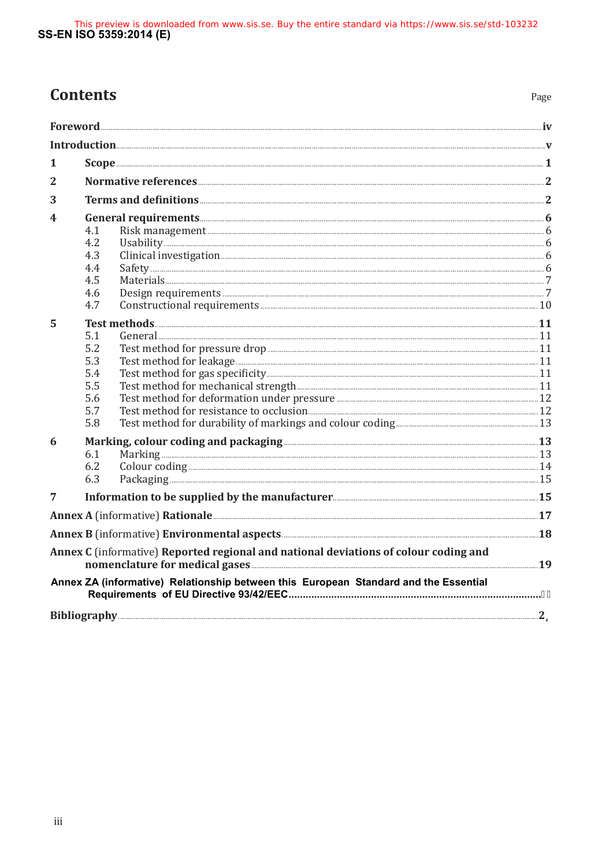| <b>Contents</b> |
|-----------------|
|-----------------|

| ۰, |
|----|

| 1 |                                                                                                                   |  |
|---|-------------------------------------------------------------------------------------------------------------------|--|
| 2 |                                                                                                                   |  |
| 3 |                                                                                                                   |  |
| 4 |                                                                                                                   |  |
|   | 4.1                                                                                                               |  |
|   | 4.2                                                                                                               |  |
|   | 4.3                                                                                                               |  |
|   | 4.4                                                                                                               |  |
|   | 4.5                                                                                                               |  |
|   | 4.6                                                                                                               |  |
|   | 4.7                                                                                                               |  |
| 5 |                                                                                                                   |  |
|   | 5.1                                                                                                               |  |
|   | 5.2                                                                                                               |  |
|   | 5.3<br>Test method for leakage <b>Manual Communities</b> 11                                                       |  |
|   | 5.4                                                                                                               |  |
|   | 5.5                                                                                                               |  |
|   | 5.6                                                                                                               |  |
|   | 5.7                                                                                                               |  |
|   | 5.8                                                                                                               |  |
| 6 |                                                                                                                   |  |
|   | 6.1                                                                                                               |  |
|   | 6.2                                                                                                               |  |
|   | 6.3                                                                                                               |  |
| 7 |                                                                                                                   |  |
|   | Annex A (informative) Rationale <b>Entimated and Entimated Annex A</b> (informative) Rationale <b>Entimated A</b> |  |
|   |                                                                                                                   |  |
|   | Annex C (informative) Reported regional and national deviations of colour coding and                              |  |
|   | Annex ZA (informative) Relationship between this European Standard and the Essential                              |  |
|   |                                                                                                                   |  |
|   |                                                                                                                   |  |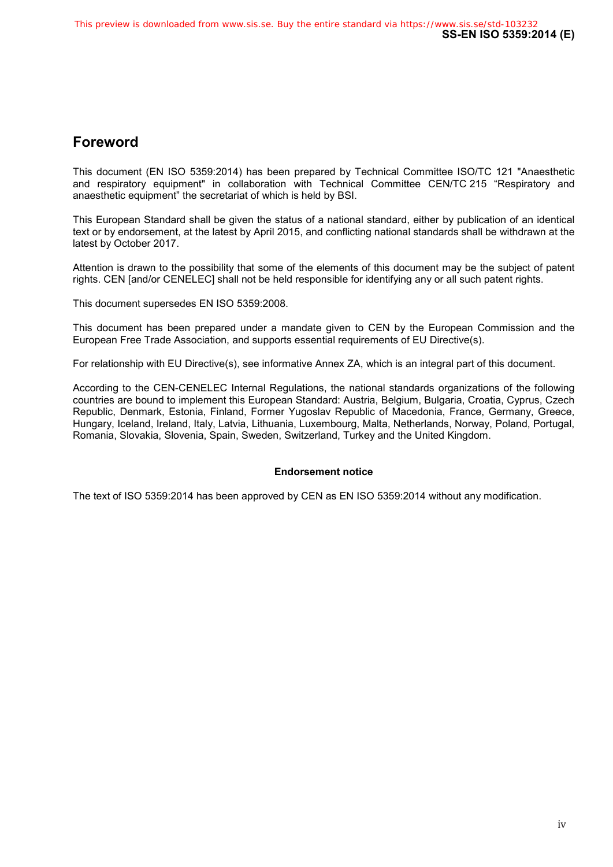## <span id="page-6-0"></span>**Foreword**

This document (EN ISO 5359:2014) has been prepared by Technical Committee ISO/TC 121 "Anaesthetic and respiratory equipment" in collaboration with Technical Committee CEN/TC 215 "Respiratory and anaesthetic equipment" the secretariat of which is held by BSI.

This European Standard shall be given the status of a national standard, either by publication of an identical text or by endorsement, at the latest by April 2015, and conflicting national standards shall be withdrawn at the latest by October 2017.

Attention is drawn to the possibility that some of the elements of this document may be the subject of patent rights. CEN [and/or CENELEC] shall not be held responsible for identifying any or all such patent rights.

This document supersedes EN ISO 5359:2008.

This document has been prepared under a mandate given to CEN by the European Commission and the European Free Trade Association, and supports essential requirements of EU Directive(s).

For relationship with EU Directive(s), see informative Annex ZA, which is an integral part of this document.

According to the CEN-CENELEC Internal Regulations, the national standards organizations of the following countries are bound to implement this European Standard: Austria, Belgium, Bulgaria, Croatia, Cyprus, Czech Republic, Denmark, Estonia, Finland, Former Yugoslav Republic of Macedonia, France, Germany, Greece, Hungary, Iceland, Ireland, Italy, Latvia, Lithuania, Luxembourg, Malta, Netherlands, Norway, Poland, Portugal, Romania, Slovakia, Slovenia, Spain, Sweden, Switzerland, Turkey and the United Kingdom.

#### **Endorsement notice**

The text of ISO 5359:2014 has been approved by CEN as EN ISO 5359:2014 without any modification.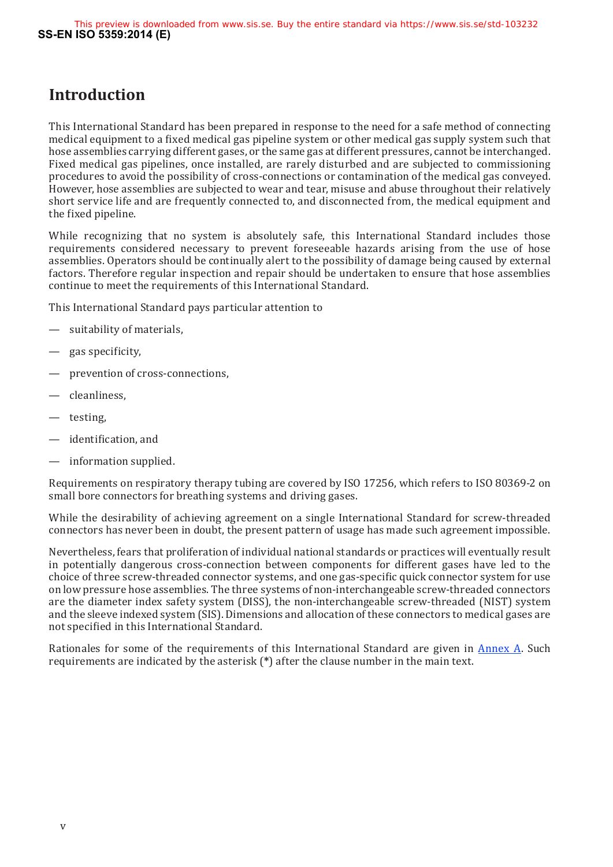# <span id="page-7-0"></span>**Introduction**

This International Standard has been prepared in response to the need for a safe method of connecting medical equipment to a fixed medical gas pipeline system or other medical gas supply system such that hose assemblies carrying different gases, or the same gas at different pressures, cannot be interchanged. Fixed medical gas pipelines, once installed, are rarely disturbed and are subjected to commissioning procedures to avoid the possibility of cross-connections or contamination of the medical gas conveyed. However, hose assemblies are subjected to wear and tear, misuse and abuse throughout their relatively short service life and are frequently connected to, and disconnected from, the medical equipment and the fixed pipeline.

While recognizing that no system is absolutely safe, this International Standard includes those requirements considered necessary to prevent foreseeable hazards arising from the use of hose assemblies. Operators should be continually alert to the possibility of damage being caused by external factors. Therefore regular inspection and repair should be undertaken to ensure that hose assemblies continue to meet the requirements of this International Standard.

This International Standard pays particular attention to

- suitability of materials,
- gas specificity,
- prevention of cross-connections,
- cleanliness,
- testing,
- identification, and
- information supplied.

Requirements on respiratory therapy tubing are covered by ISO 17256, which refers to ISO 80369-2 on small bore connectors for breathing systems and driving gases.

While the desirability of achieving agreement on a single International Standard for screw-threaded connectors has never been in doubt, the present pattern of usage has made such agreement impossible.

Nevertheless, fears that proliferation of individual national standards or practices will eventually result in potentially dangerous cross-connection between components for different gases have led to the choice of three screw-threaded connector systems, and one gas-specific quick connector system for use on low pressure hose assemblies. The three systems of non-interchangeable screw-threaded connectors are the diameter index safety system (DISS), the non-interchangeable screw-threaded (NIST) system and the sleeve indexed system (SIS). Dimensions and allocation of these connectors to medical gases are not specified in this International Standard.

Rationales for some of the requirements of this International Standard are given in Annex A. Such requirements are indicated by the asterisk (**\***) after the clause number in the main text.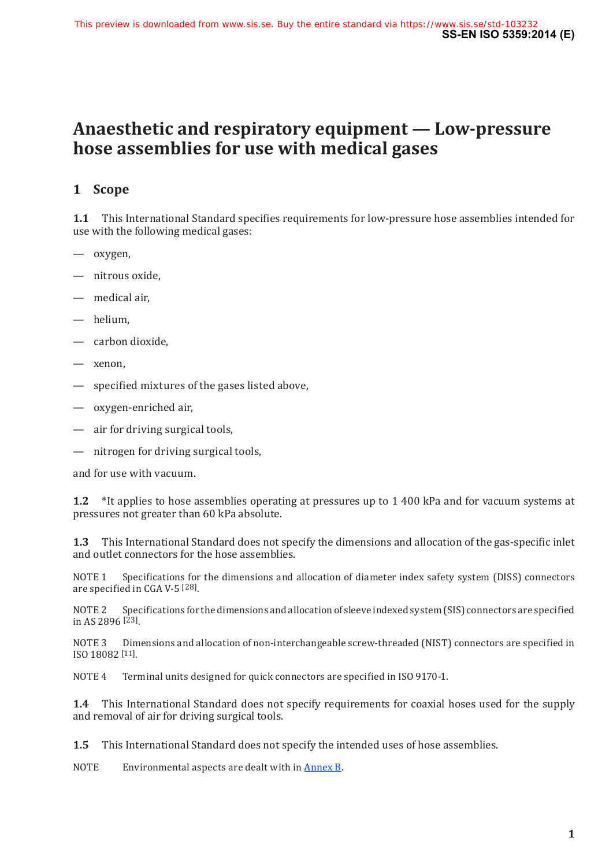# <span id="page-8-0"></span>**Anaesthetic and respiratory equipment — Low-pressure hose assemblies for use with medical gases**

### **1 Scope**

**1.1** This International Standard specifies requirements for low-pressure hose assemblies intended for use with the following medical gases:

- oxygen,
- nitrous oxide,
- medical air,
- helium,
- carbon dioxide,
- xenon,
- specified mixtures of the gases listed above,
- oxygen-enriched air,
- air for driving surgical tools,
- nitrogen for driving surgical tools,

and for use with vacuum.

**1.2** \*It applies to hose assemblies operating at pressures up to 1 400 kPa and for vacuum systems at pressures not greater than 60 kPa absolute.

**1.3** This International Standard does not specify the dimensions and allocation of the gas-specific inlet and outlet connectors for the hose assemblies.

NOTE 1 Specifications for the dimensions and allocation of diameter index safety system (DISS) connectors are specified in CGA V-5 [28].

NOTE 2 Specifications for the dimensions and allocation of sleeve indexed system (SIS) connectors are specified in AS 2896 [23].

NOTE 3 Dimensions and allocation of non-interchangeable screw-threaded (NIST) connectors are specified in ISO 18082 [11].

NOTE 4 Terminal units designed for quick connectors are specified in ISO 9170-1.

**1.4** This International Standard does not specify requirements for coaxial hoses used for the supply and removal of air for driving surgical tools.

**1.5** This International Standard does not specify the intended uses of hose assemblies.

NOTE Environmental aspects are dealt with in **Annex B**.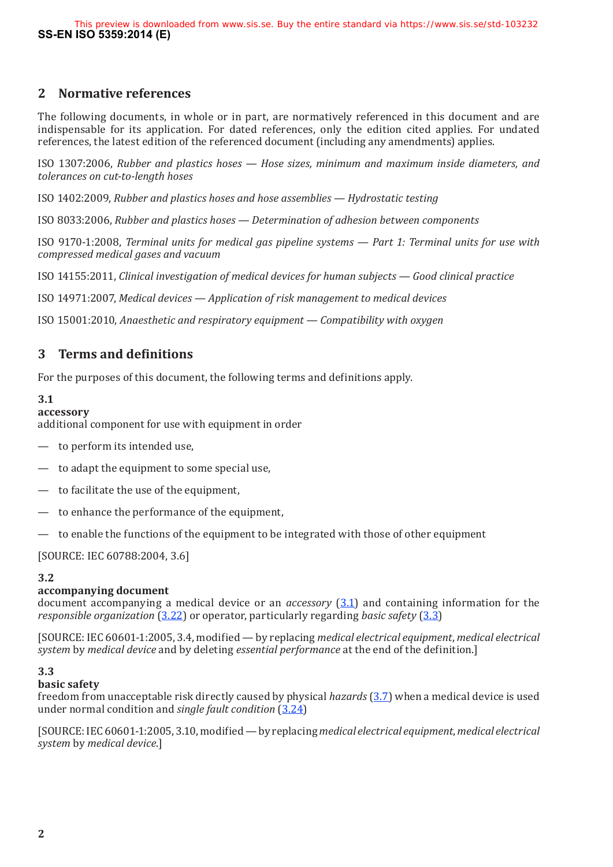### <span id="page-9-0"></span>**2 Normative references**

The following documents, in whole or in part, are normatively referenced in this document and are indispensable for its application. For dated references, only the edition cited applies. For undated references, the latest edition of the referenced document (including any amendments) applies.

ISO 1307:2006, *Rubber and plastics hoses — Hose sizes, minimum and maximum inside diameters, and tolerances on cut-to-length hoses*

ISO 1402:2009, *Rubber and plastics hoses and hose assemblies — Hydrostatic testing*

ISO 8033:2006, *Rubber and plastics hoses — Determination of adhesion between components*

ISO 9170-1:2008, *Terminal units for medical gas pipeline systems — Part 1: Terminal units for use with compressed medical gases and vacuum*

ISO 14155:2011, *Clinical investigation of medical devices for human subjects — Good clinical practice*

ISO 14971:2007, *Medical devices — Application of risk management to medical devices*

ISO 15001:2010, *Anaesthetic and respiratory equipment — Compatibility with oxygen*

### **3 Terms and definitions**

For the purposes of this document, the following terms and definitions apply.

#### <span id="page-9-1"></span>**3.1**

#### **accessory**

additional component for use with equipment in order

- to perform its intended use,
- to adapt the equipment to some special use.
- to facilitate the use of the equipment,
- to enhance the performance of the equipment,
- to enable the functions of the equipment to be integrated with those of other equipment

[SOURCE: IEC 60788:2004, 3.6]

#### **3.2**

#### **accompanying document**

document accompanying a medical device or an *accessory* ([3.1](#page-9-1)) and containing information for the *responsible organization* (3.22) or operator, particularly regarding *basic safety* [\(3.3\)](#page-9-2)

[SOURCE: IEC 60601‑1:2005, 3.4, modified — by replacing *medical electrical equipment*, *medical electrical system* by *medical device* and by deleting *essential performance* at the end of the definition.]

#### <span id="page-9-2"></span>**3.3**

#### **basic safety**

freedom from unacceptable risk directly caused by physical *hazards* ([3.7](#page-10-0)) when a medical device is used under normal condition and *single fault condition* (3.24)

[SOURCE: IEC60601‑1:2005, 3.10, modified — by replacing *medical electrical equipment*, *medical electrical system* by *medical device*.]